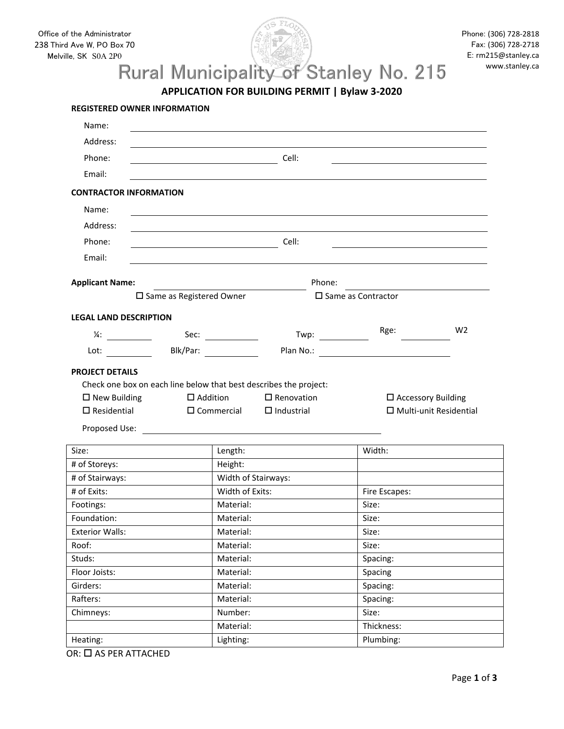

## Melville, SK S0A 2P0<br>Rural Municipality of Stanley No. 215

**APPLICATION FOR BUILDING PERMIT | Bylaw 3‐2020**

| Name:                                                                                                                                                                                                                          |                            |                                |                                                       |                                                                                                                  |                               |
|--------------------------------------------------------------------------------------------------------------------------------------------------------------------------------------------------------------------------------|----------------------------|--------------------------------|-------------------------------------------------------|------------------------------------------------------------------------------------------------------------------|-------------------------------|
| Address:                                                                                                                                                                                                                       |                            |                                |                                                       |                                                                                                                  |                               |
| Phone:                                                                                                                                                                                                                         |                            | $\overline{\phantom{a}}$ Cell: |                                                       |                                                                                                                  |                               |
| Email:                                                                                                                                                                                                                         |                            |                                |                                                       |                                                                                                                  |                               |
| <b>CONTRACTOR INFORMATION</b>                                                                                                                                                                                                  |                            |                                |                                                       |                                                                                                                  |                               |
| Name:                                                                                                                                                                                                                          |                            |                                |                                                       |                                                                                                                  |                               |
|                                                                                                                                                                                                                                |                            |                                |                                                       |                                                                                                                  |                               |
| Address:                                                                                                                                                                                                                       |                            |                                |                                                       |                                                                                                                  |                               |
| Phone:                                                                                                                                                                                                                         |                            |                                | Cell:                                                 |                                                                                                                  |                               |
| Email:                                                                                                                                                                                                                         |                            |                                |                                                       |                                                                                                                  |                               |
| <b>Applicant Name:</b>                                                                                                                                                                                                         |                            |                                | Phone:                                                |                                                                                                                  |                               |
|                                                                                                                                                                                                                                | □ Same as Registered Owner |                                |                                                       | $\square$ Same as Contractor                                                                                     |                               |
| <b>LEGAL LAND DESCRIPTION</b>                                                                                                                                                                                                  |                            |                                |                                                       |                                                                                                                  |                               |
| $\frac{1}{4}$ :                                                                                                                                                                                                                |                            | Sec: $\qquad \qquad$           | Twp: $\frac{1}{\sqrt{1-\frac{1}{2}}\cdot\frac{1}{2}}$ | Rge:                                                                                                             | W <sub>2</sub>                |
| Lot: the contract of the contract of the contract of the contract of the contract of the contract of the contract of the contract of the contract of the contract of the contract of the contract of the contract of the contr | Blk/Par:                   |                                |                                                       | Plan No.: 2008 2012 2022 2022 2023 2024 2022 2022 2023 2024 2022 2023 2024 2022 2023 2024 2022 2023 2024 2022 20 |                               |
| <b>PROJECT DETAILS</b>                                                                                                                                                                                                         |                            |                                |                                                       |                                                                                                                  |                               |
| Check one box on each line below that best describes the project:                                                                                                                                                              |                            |                                |                                                       |                                                                                                                  |                               |
| $\Box$ New Building                                                                                                                                                                                                            | $\Box$ Addition            |                                | $\Box$ Renovation                                     | $\square$ Accessory Building                                                                                     |                               |
| $\Box$ Residential                                                                                                                                                                                                             |                            | $\square$ Commercial           | $\Box$ Industrial                                     |                                                                                                                  | $\Box$ Multi-unit Residential |
|                                                                                                                                                                                                                                |                            |                                |                                                       |                                                                                                                  |                               |
|                                                                                                                                                                                                                                |                            |                                |                                                       |                                                                                                                  |                               |
| Size:                                                                                                                                                                                                                          |                            | Length:                        |                                                       | Width:                                                                                                           |                               |
| # of Storeys:                                                                                                                                                                                                                  |                            | Height:                        |                                                       |                                                                                                                  |                               |
| # of Stairways:                                                                                                                                                                                                                |                            | Width of Stairways:            |                                                       |                                                                                                                  |                               |
| # of Exits:                                                                                                                                                                                                                    |                            | Width of Exits:                |                                                       | Fire Escapes:                                                                                                    |                               |
| Footings:                                                                                                                                                                                                                      |                            | Material:                      |                                                       | Size:                                                                                                            |                               |
| Foundation:                                                                                                                                                                                                                    |                            | Material:                      |                                                       | Size:                                                                                                            |                               |
| <b>Exterior Walls:</b>                                                                                                                                                                                                         |                            | Material:                      |                                                       | Size:                                                                                                            |                               |
| Roof:                                                                                                                                                                                                                          |                            | Material:                      |                                                       | Size:                                                                                                            |                               |
| Studs:                                                                                                                                                                                                                         |                            | Material:                      |                                                       | Spacing:                                                                                                         |                               |
| Floor Joists:                                                                                                                                                                                                                  |                            | Material:                      |                                                       | Spacing                                                                                                          |                               |
| Girders:                                                                                                                                                                                                                       |                            | Material:                      |                                                       | Spacing:                                                                                                         |                               |
| Rafters:                                                                                                                                                                                                                       |                            | Material:                      |                                                       | Spacing:                                                                                                         |                               |
| Chimneys:                                                                                                                                                                                                                      |                            | Number:                        |                                                       | Size:                                                                                                            |                               |
|                                                                                                                                                                                                                                |                            | Material:                      |                                                       | Thickness:                                                                                                       |                               |
| Heating:                                                                                                                                                                                                                       |                            | Lighting:                      |                                                       | Plumbing:                                                                                                        |                               |

 $OR:  $\square$  AS PER ATTACHED$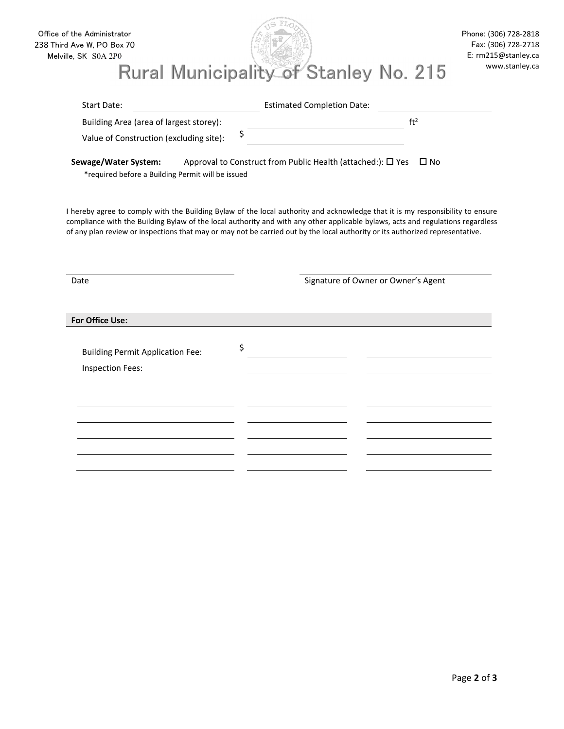| Rural Municipality of Stanley No. 215<br>Start Date:<br>Building Area (area of largest storey):<br>\$<br>Value of Construction (excluding site):<br>Sewage/Water System:<br>*required before a Building Permit will be issued<br>I hereby agree to comply with the Building Bylaw of the local authority and acknowledge that it is my responsibility to ensure<br>compliance with the Building Bylaw of the local authority and with any other applicable bylaws, acts and regulations regardless<br>of any plan review or inspections that may or may not be carried out by the local authority or its authorized representative.<br>Date<br>For Office Use: | <b>Estimated Completion Date:</b><br>Approval to Construct from Public Health (attached:): □ Yes □ No | www.stanley.ca<br>ft <sup>2</sup><br>Signature of Owner or Owner's Agent |
|----------------------------------------------------------------------------------------------------------------------------------------------------------------------------------------------------------------------------------------------------------------------------------------------------------------------------------------------------------------------------------------------------------------------------------------------------------------------------------------------------------------------------------------------------------------------------------------------------------------------------------------------------------------|-------------------------------------------------------------------------------------------------------|--------------------------------------------------------------------------|
|                                                                                                                                                                                                                                                                                                                                                                                                                                                                                                                                                                                                                                                                |                                                                                                       |                                                                          |
|                                                                                                                                                                                                                                                                                                                                                                                                                                                                                                                                                                                                                                                                |                                                                                                       |                                                                          |
|                                                                                                                                                                                                                                                                                                                                                                                                                                                                                                                                                                                                                                                                |                                                                                                       |                                                                          |
|                                                                                                                                                                                                                                                                                                                                                                                                                                                                                                                                                                                                                                                                |                                                                                                       |                                                                          |
|                                                                                                                                                                                                                                                                                                                                                                                                                                                                                                                                                                                                                                                                |                                                                                                       |                                                                          |
|                                                                                                                                                                                                                                                                                                                                                                                                                                                                                                                                                                                                                                                                |                                                                                                       |                                                                          |
|                                                                                                                                                                                                                                                                                                                                                                                                                                                                                                                                                                                                                                                                |                                                                                                       |                                                                          |
|                                                                                                                                                                                                                                                                                                                                                                                                                                                                                                                                                                                                                                                                |                                                                                                       |                                                                          |
| \$<br><b>Building Permit Application Fee:</b>                                                                                                                                                                                                                                                                                                                                                                                                                                                                                                                                                                                                                  |                                                                                                       |                                                                          |
| <b>Inspection Fees:</b>                                                                                                                                                                                                                                                                                                                                                                                                                                                                                                                                                                                                                                        |                                                                                                       |                                                                          |
|                                                                                                                                                                                                                                                                                                                                                                                                                                                                                                                                                                                                                                                                |                                                                                                       |                                                                          |
|                                                                                                                                                                                                                                                                                                                                                                                                                                                                                                                                                                                                                                                                |                                                                                                       |                                                                          |
|                                                                                                                                                                                                                                                                                                                                                                                                                                                                                                                                                                                                                                                                |                                                                                                       |                                                                          |
|                                                                                                                                                                                                                                                                                                                                                                                                                                                                                                                                                                                                                                                                |                                                                                                       |                                                                          |